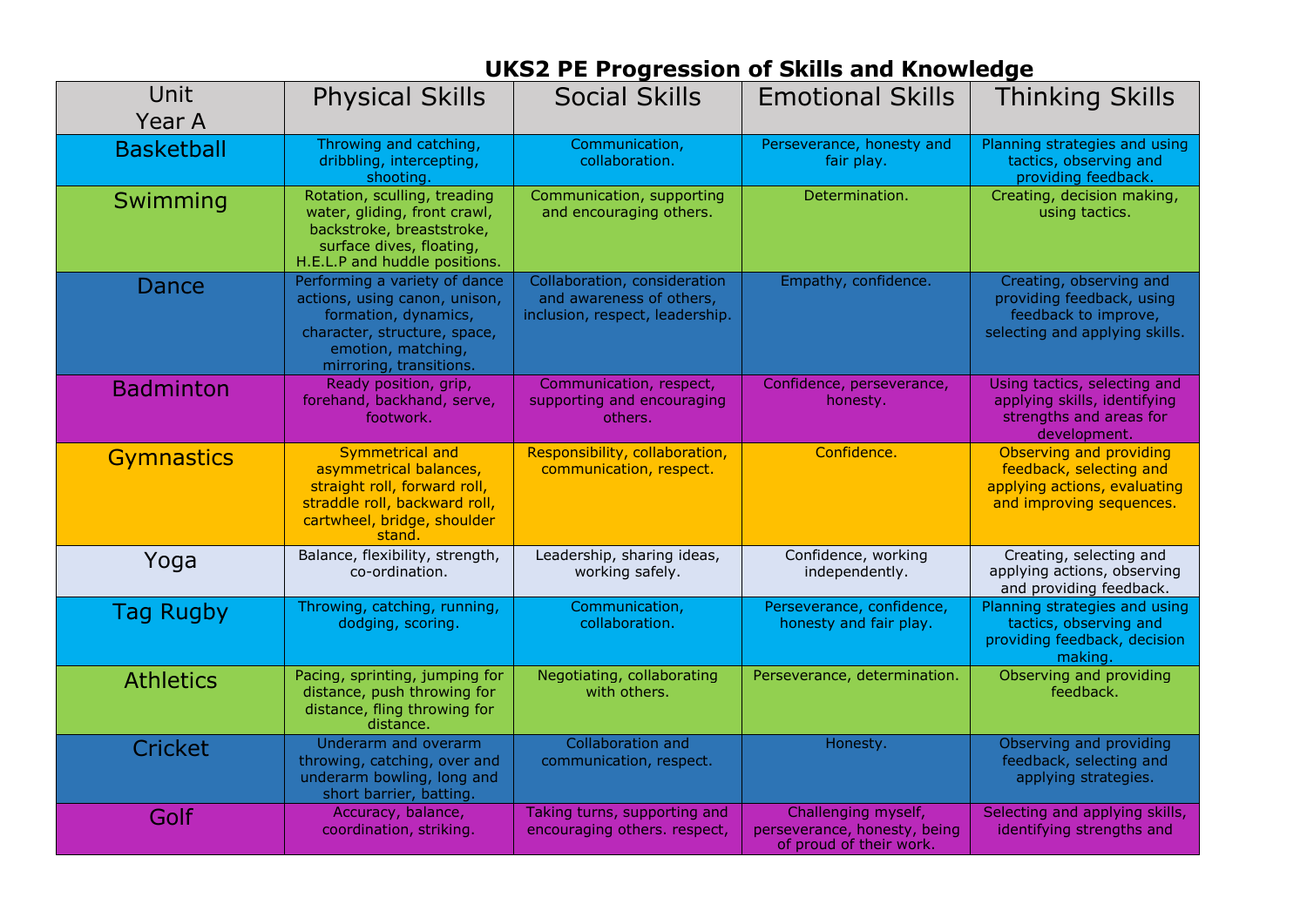## **UKS2 PE Progression of Skills and Knowledge**

| Unit<br>Year A    | <b>Physical Skills</b>                                                                                                                                                  | <b>Social Skills</b>                                                                        | <b>Emotional Skills</b>                                                        | <b>Thinking Skills</b>                                                                                         |  |
|-------------------|-------------------------------------------------------------------------------------------------------------------------------------------------------------------------|---------------------------------------------------------------------------------------------|--------------------------------------------------------------------------------|----------------------------------------------------------------------------------------------------------------|--|
| <b>Basketball</b> | Throwing and catching,<br>dribbling, intercepting,<br>shooting.                                                                                                         | Communication,<br>collaboration.                                                            | Perseverance, honesty and<br>fair play.                                        | Planning strategies and using<br>tactics, observing and<br>providing feedback.                                 |  |
| Swimming          | Rotation, sculling, treading<br>water, gliding, front crawl,<br>backstroke, breaststroke,<br>surface dives, floating,<br>H.E.L.P and huddle positions.                  | Communication, supporting<br>and encouraging others.                                        | Determination.                                                                 | Creating, decision making,<br>using tactics.                                                                   |  |
| Dance             | Performing a variety of dance<br>actions, using canon, unison,<br>formation, dynamics,<br>character, structure, space,<br>emotion, matching,<br>mirroring, transitions. | Collaboration, consideration<br>and awareness of others,<br>inclusion, respect, leadership. | Empathy, confidence.                                                           | Creating, observing and<br>providing feedback, using<br>feedback to improve,<br>selecting and applying skills. |  |
| <b>Badminton</b>  | Ready position, grip,<br>forehand, backhand, serve,<br>footwork.                                                                                                        | Communication, respect,<br>supporting and encouraging<br>others.                            | Confidence, perseverance,<br>honesty.                                          | Using tactics, selecting and<br>applying skills, identifying<br>strengths and areas for<br>development.        |  |
| <b>Gymnastics</b> | <b>Symmetrical and</b><br>asymmetrical balances,<br>straight roll, forward roll,<br>straddle roll, backward roll,<br>cartwheel, bridge, shoulder<br>stand.              | Responsibility, collaboration,<br>communication, respect.                                   | Confidence.                                                                    | Observing and providing<br>feedback, selecting and<br>applying actions, evaluating<br>and improving sequences. |  |
| Yoga              | Balance, flexibility, strength,<br>co-ordination.                                                                                                                       | Leadership, sharing ideas,<br>working safely.                                               | Confidence, working<br>independently.                                          | Creating, selecting and<br>applying actions, observing<br>and providing feedback.                              |  |
| Tag Rugby         | Throwing, catching, running,<br>dodging, scoring.                                                                                                                       | Communication,<br>collaboration.                                                            | Perseverance, confidence,<br>honesty and fair play.                            | Planning strategies and using<br>tactics, observing and<br>providing feedback, decision<br>making.             |  |
| <b>Athletics</b>  | Pacing, sprinting, jumping for<br>distance, push throwing for<br>distance, fling throwing for<br>distance.                                                              | Negotiating, collaborating<br>with others.                                                  | Perseverance, determination.                                                   | Observing and providing<br>feedback.                                                                           |  |
| <b>Cricket</b>    | Underarm and overarm<br>throwing, catching, over and<br>underarm bowling, long and<br>short barrier, batting.                                                           | <b>Collaboration and</b><br>communication, respect.                                         | Honesty.                                                                       | Observing and providing<br>feedback, selecting and<br>applying strategies.                                     |  |
| Golf              | Accuracy, balance,<br>coordination, striking.                                                                                                                           | Taking turns, supporting and<br>encouraging others. respect,                                | Challenging myself,<br>perseverance, honesty, being<br>of proud of their work. | Selecting and applying skills,<br>identifying strengths and                                                    |  |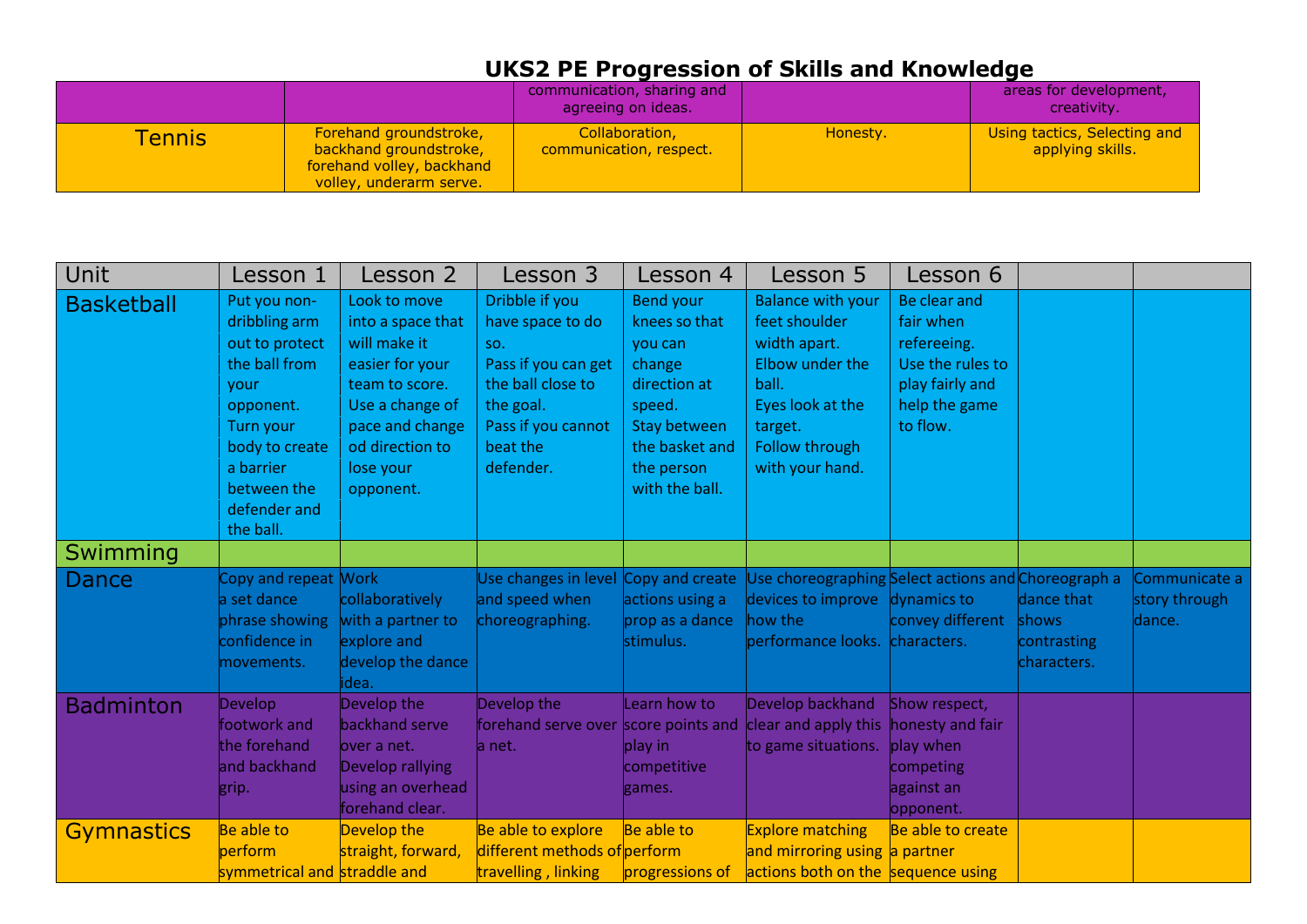## **UKS2 PE Progression of Skills and Knowledge**

|         |                                                                                                          | communication, sharing and<br>agreeing on ideas. |          | areas for development,<br>creativity.            |
|---------|----------------------------------------------------------------------------------------------------------|--------------------------------------------------|----------|--------------------------------------------------|
| Tennisl | Forehand groundstroke,<br>backhand groundstroke,<br>forehand volley, backhand<br>volley, underarm serve. | Collaboration,<br>communication, respect.        | Honesty. | Using tactics, Selecting and<br>applying skills. |

| Unit              | Lesson 1                                                                                                                                                                             | Lesson 2                                                                                                                                                                  | Lesson 3                                                                                                                                          | Lesson 4                                                                                                                                                  | Lesson 5                                                                                                                                                  | Lesson 6                                                                                                     |                                                   |                                          |
|-------------------|--------------------------------------------------------------------------------------------------------------------------------------------------------------------------------------|---------------------------------------------------------------------------------------------------------------------------------------------------------------------------|---------------------------------------------------------------------------------------------------------------------------------------------------|-----------------------------------------------------------------------------------------------------------------------------------------------------------|-----------------------------------------------------------------------------------------------------------------------------------------------------------|--------------------------------------------------------------------------------------------------------------|---------------------------------------------------|------------------------------------------|
| <b>Basketball</b> | Put you non-<br>dribbling arm<br>out to protect<br>the ball from<br>vour<br>opponent.<br><b>Turn your</b><br>body to create<br>a barrier<br>between the<br>defender and<br>the ball. | Look to move<br>into a space that<br>will make it<br>easier for your<br>team to score.<br>Use a change of<br>pace and change<br>od direction to<br>lose your<br>opponent. | Dribble if you<br>have space to do<br>SO.<br>Pass if you can get<br>the ball close to<br>the goal.<br>Pass if you cannot<br>beat the<br>defender. | <b>Bend your</b><br>knees so that<br>you can<br>change<br>direction at<br>speed.<br><b>Stay between</b><br>the basket and<br>the person<br>with the ball. | <b>Balance with your</b><br>feet shoulder<br>width apart.<br>Elbow under the<br>ball.<br>Eyes look at the<br>target.<br>Follow through<br>with your hand. | Be clear and<br>fair when<br>refereeing.<br>Use the rules to<br>play fairly and<br>help the game<br>to flow. |                                                   |                                          |
| Swimming          |                                                                                                                                                                                      |                                                                                                                                                                           |                                                                                                                                                   |                                                                                                                                                           |                                                                                                                                                           |                                                                                                              |                                                   |                                          |
| Dance             | Copy and repeat Work<br>a set dance<br>phrase showing<br>confidence in<br>movements.                                                                                                 | collaboratively<br>with a partner to<br>explore and<br>develop the dance<br>idea.                                                                                         | Use changes in level Copy and create<br>and speed when<br>choreographing.                                                                         | actions using a<br>prop as a dance<br>stimulus.                                                                                                           | Use choreographing Select actions and Choreograph a<br>devices to improve dynamics to<br>how the<br>performance looks. characters.                        | convey different                                                                                             | dance that<br>shows<br>contrasting<br>characters. | Communicate a<br>story through<br>dance. |
| <b>Badminton</b>  | <b>Develop</b><br>footwork and<br>the forehand<br>and backhand<br>grip.                                                                                                              | Develop the<br>backhand serve<br>lover a net.<br>Develop rallying<br>using an overhead<br>forehand clear.                                                                 | Develop the<br>forehand serve over score points and<br>la net.                                                                                    | Learn how to<br>play in<br>competitive<br>games.                                                                                                          | Develop backhand<br>clear and apply this<br>to game situations.                                                                                           | Show respect,<br>honesty and fair<br>play when<br>competing<br>against an<br>opponent.                       |                                                   |                                          |
| <b>Gymnastics</b> | Be able to<br><b>perform</b><br>symmetrical and straddle and                                                                                                                         | Develop the<br>straight, forward,                                                                                                                                         | Be able to explore<br>different methods of perform<br>travelling, linking                                                                         | Be able to<br>progressions of                                                                                                                             | <b>Explore matching</b><br>and mirroring using a partner<br>actions both on the sequence using                                                            | Be able to create                                                                                            |                                                   |                                          |